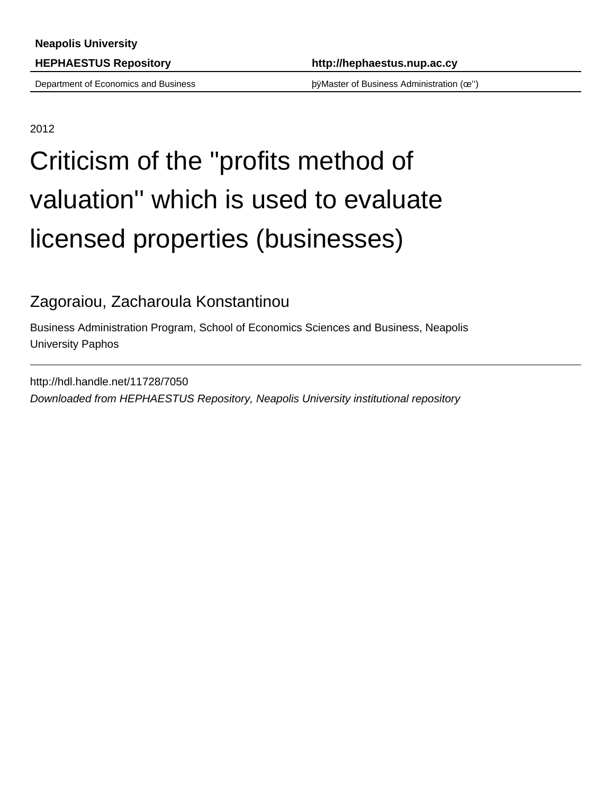Department of Economics and Business þÿMaster of Business Administration (œ'')

2012

# Criticism of the ''profits method of valuation'' which is used to evaluate licensed properties (businesses)

### Zagoraiou, Zacharoula Konstantinou

Business Administration Program, School of Economics Sciences and Business, Neapolis University Paphos

http://hdl.handle.net/11728/7050 Downloaded from HEPHAESTUS Repository, Neapolis University institutional repository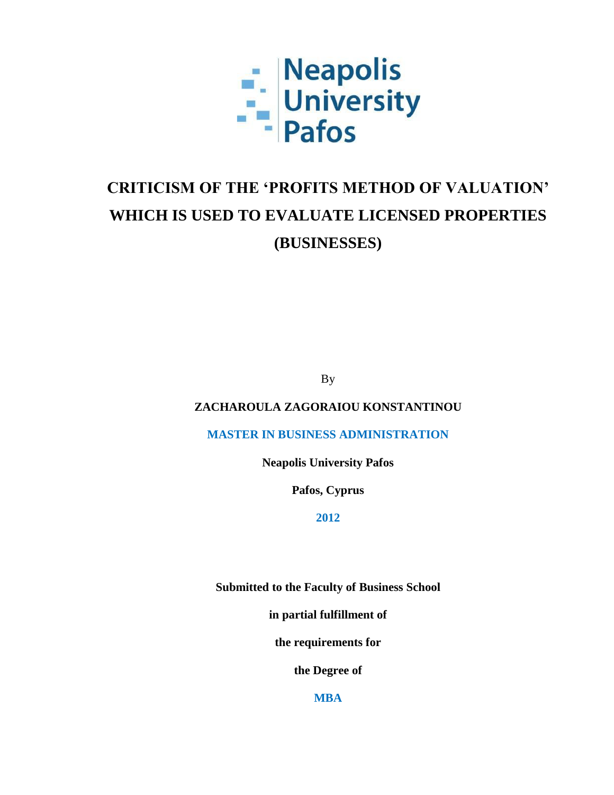

## **CRITICISM OF THE 'PROFITS METHOD OF VALUATION' WHICH IS USED TO EVALUATE LICENSED PROPERTIES (BUSINESSES)**

By

**ZACHAROULA ZAGORAIOU KONSTANTINOU**

**MASTER IN BUSINESS ADMINISTRATION**

**Neapolis University Pafos**

**Pafos, Cyprus**

**2012**

**Submitted to the Faculty of Business School** 

**in partial fulfillment of**

**the requirements for**

**the Degree of**

**MBA**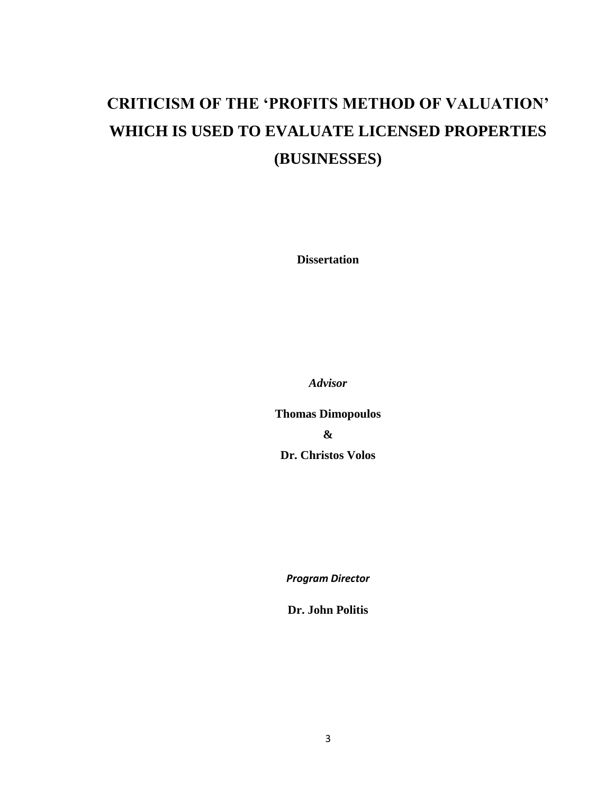## **CRITICISM OF THE 'PROFITS METHOD OF VALUATION' WHICH IS USED TO EVALUATE LICENSED PROPERTIES (BUSINESSES)**

**Dissertation**

*Advisor*

**Thomas Dimopoulos & Dr. Christos Volos**

*Program Director*

**Dr. John Politis**